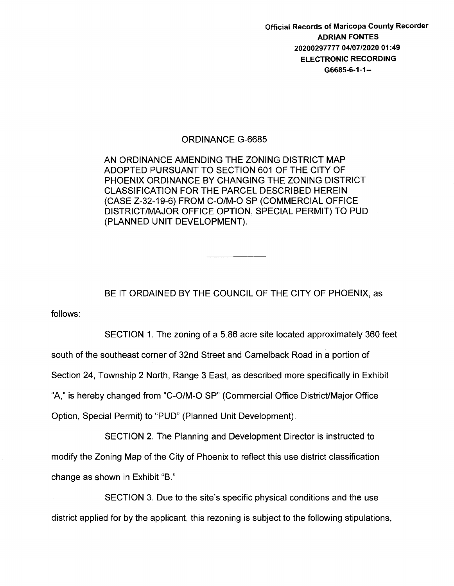Official Records of Maricopa County Recorder ADRIAN FONTES 20200297777 04/07/2020 01:49 ELECTRONIC RECORDING G6685-6-1-1--

## ORDINANCE G-6685

AN ORDINANCE AMENDING THE ZONING DISTRICT MAP ADOPTED PURSUANT TO SECTION 601 OF THE CITY OF PHOENIX ORDINANCE BY CHANGING THE ZONING DISTRICT CLASSIFICATION FOR THE PARCEL DESCRIBED HEREIN (CASE Z-32-19-6) FROM C-0/M-0 SP (COMMERCIAL OFFICE DISTRICT/MAJOR OFFICE OPTION, SPECIAL PERMIT) TO PUD (PLANNED UNIT DEVELOPMENT).

BE IT ORDAINED BY THE COUNCIL OF THE CITY OF PHOENIX, as

follows:

SECTION 1. The zoning of a 5.86 acre site located approximately 360 feet south of the southeast corner of 32nd Street and Camelback Road in a portion of Section 24, Township 2 North, Range 3 East, as described more specifically in Exhibit "A," is hereby changed from "C-0/M-0 SP" (Commercial Office DistricUMajor Office Option, Special Permit) to "PUD" (Planned Unit Development).

SECTION 2. The Planning and Development Director is instructed to modify the Zoning Map of the City of Phoenix to reflect this use district classification change as shown in Exhibit "B."

SECTION 3. Due to the site's specific physical conditions and the use district applied for by the applicant, this rezoning is subject to the following stipulations,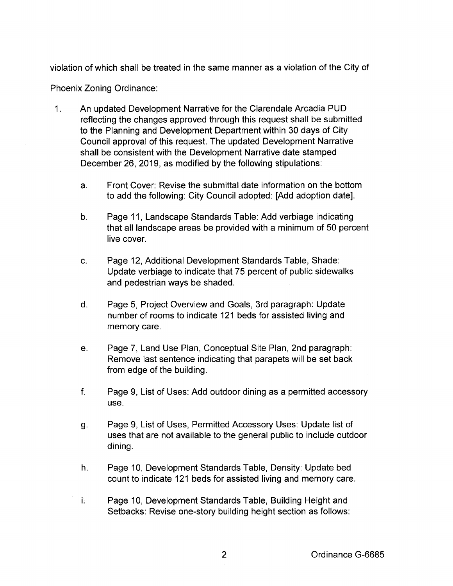violation of which shall be treated in the same manner as a violation of the City of

Phoenix Zoning Ordinance:

- 1. An updated Development Narrative for the Clarendale Arcadia PUD reflecting the changes approved through this request shall be submitted to the Planning and Development Department within 30 days of City Council approval of this request. The updated Development Narrative shall be consistent with the Development Narrative date stamped December 26, 2019, as modified by the following stipulations:
	- a. Front Cover: Revise the submittal date information on the bottom to add the following: City Council adopted: [Add adoption date].
	- b. Page 11, Landscape Standards Table: Add verbiage indicating that all landscape areas be provided with a minimum of 50 percent live cover.
	- c. Page 12, Additional Development Standards Table, Shade: Update verbiage to indicate that 75 percent of public sidewalks and pedestrian ways be shaded.
	- d. Page 5, Project Overview and Goals, 3rd paragraph: Update number of rooms to indicate 121 beds for assisted living and memory care.
	- e. Page 7, Land Use Plan, Conceptual Site Plan, 2nd paragraph: Remove last sentence indicating that parapets will be set back from edge of the building.
	- f. Page 9, List of Uses: Add outdoor dining as a permitted accessory use.
	- g. Page 9, List of Uses, Permitted Accessory Uses: Update list of uses that are not available to the general public to include outdoor dining.
	- h. Page 10, Development Standards Table, Density: Update bed count to indicate 121 beds for assisted living and memory care.
	- i. Page 10, Development Standards Table, Building Height and Setbacks: Revise one-story building height section as follows: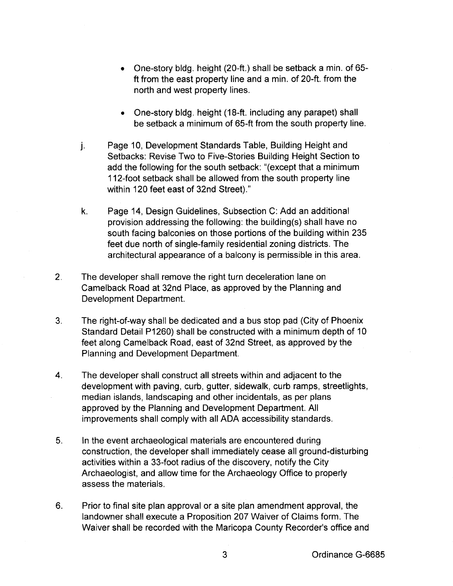- One-story bldg. height (20-ft.) shall be setback a min. of 65 ft from the east property line and a min. of 20-ft. from the north and west property lines.
- One-story bldg. height (18-ft. including any parapet) shall be setback a minimum of 65-ft from the south property line.
- j. Page 10, Development Standards Table, Building Height and Setbacks: Revise Two to Five-Stories Building Height Section to add the following for the south setback: "(except that a minimum 112-foot setback shall be allowed from the south property line within 120 feet east of 32nd Street)."
- k. Page 14, Design Guidelines, Subsection C: Add an additional provision addressing the following: the building(s) shall have no south facing balconies on those portions of the building within 235 feet due north of single-family residential zoning districts. The architectural appearance of a balcony is permissible in this area.
- 2. The developer shall remove the right turn deceleration lane on Camelback Road at 32nd Place, as approved by the Planning and Development Department.
- 3. The right-of-way shall be dedicated and a bus stop pad (City of Phoenix Standard Detail P1260) shall be constructed with a minimum depth of 10 feet along Camelback Road, east of 32nd Street, as approved by the Planning and Development Department.
- 4. The developer shall construct all streets within and adjacent to the development with paving, curb, gutter, sidewalk, curb ramps, streetlights, median islands, landscaping and other incidentals, as per plans approved by the Planning and Development Department. All improvements shall comply with all ADA accessibility standards.
- 5. In the event archaeological materials are encountered during construction, the developer shall immediately cease all ground-disturbing activities within a 33-foot radius of the discovery, notify the City Archaeologist, and allow time for the Archaeology Office to properly assess the materials.
- 6. Prior to final site plan approval or a site plan amendment approval, the landowner shall execute a Proposition 207 Waiver of Claims form. The Waiver shall be recorded with the Maricopa County Recorder's office and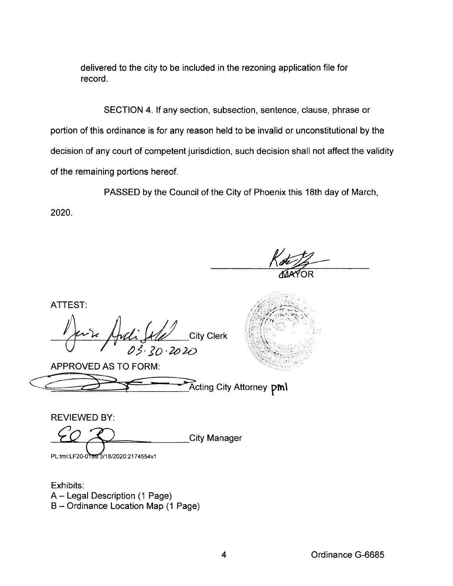delivered to the city to be included in the rezoning application file for record.

SECTION 4. If any section, subsection, sentence, clause, phrase or portion of this ordinance is for any reason held to be invalid or unconstitutional by the decision of any court of competent jurisdiction, such decision shall not affect the validity of the remaining portions hereof.

PASSED by the Council of the City of Phoenix this 18th day of March,

2020.

ATTEST:

<sup>~</sup>*'i< ltd;* k£ City Clerk *'--(F-* <sup>I</sup>~ J.jO . *2o* 2D

APPROVED AS TO FORM:

| Acting City Attorney pml |  |
|--------------------------|--|

REVIEWED BY:

**City Manager** PL:tml:LF20-0199.3/18/2020:2174554v1

Exhibits: A- Legal Description (1 Page) B- Ordinance Location Map (1 Page)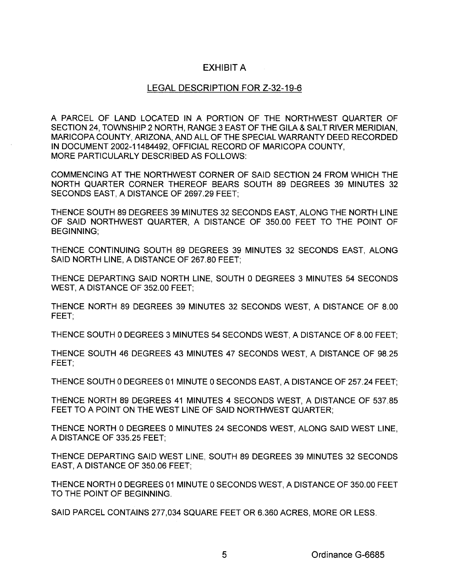## EXHIBIT A

## LEGAL DESCRIPTION FOR Z-32-19-6

A PARCEL OF LAND LOCATED IN A PORTION OF THE NORTHWEST QUARTER OF SECTION 24, TOWNSHIP 2 NORTH, RANGE 3 EAST OF THE GILA & SALT RIVER MERIDIAN, MARICOPA COUNTY, ARIZONA, AND ALL OF THE SPECIAL WARRANTY DEED RECORDED IN DOCUMENT 2002-11484492, OFFICIAL RECORD OF MARICOPA COUNTY, MORE PARTICULARLY DESCRIBED AS FOLLOWS:

COMMENCING AT THE NORTHWEST CORNER OF SAID SECTION 24 FROM WHICH THE NORTH QUARTER CORNER THEREOF BEARS SOUTH 89 DEGREES 39 MINUTES 32 SECONDS EAST, A DISTANCE OF 2697.29 FEET;

THENCE SOUTH 89 DEGREES 39 MINUTES 32 SECONDS EAST, ALONG THE NORTH LINE OF SAID NORTHWEST QUARTER, A DISTANCE OF 350.00 FEET TO THE POINT OF BEGINNING;

THENCE CONTINUING SOUTH 89 DEGREES 39 MINUTES 32 SECONDS EAST, ALONG SAID NORTH LINE, A DISTANCE OF 267.80 FEET;

THENCE DEPARTING SAID NORTH LINE, SOUTH 0 DEGREES 3 MINUTES 54 SECONDS WEST, A DISTANCE OF 352.00 FEET;

THENCE NORTH 89 DEGREES 39 MINUTES 32 SECONDS WEST, A DISTANCE OF 8.00 FEET;

THENCE SOUTH 0 DEGREES 3 MINUTES 54 SECONDS WEST, A DISTANCE OF 8.00 FEET;

THENCE SOUTH 46 DEGREES 43 MINUTES 47 SECONDS WEST, A DISTANCE OF 98.25 FEET;

THENCE SOUTH 0 DEGREES 01 MINUTE 0 SECONDS EAST, A DISTANCE OF 257.24 FEET;

THENCE NORTH 89 DEGREES 41 MINUTES 4 SECONDS WEST, A DISTANCE OF 537.85 FEET TO A POINT ON THE WEST LINE OF SAID NORTHWEST QUARTER;

THENCE NORTH 0 DEGREES 0 MINUTES 24 SECONDS WEST, ALONG SAID WEST LINE, A DISTANCE OF 335.25 FEET;

THENCE DEPARTING SAID WEST LINE, SOUTH 89 DEGREES 39 MINUTES 32 SECONDS EAST, A DISTANCE OF 350.06 FEET;

THENCE NORTH 0 DEGREES 01 MINUTE 0 SECONDS WEST, A DISTANCE OF 350.00 FEET TO THE POINT OF BEGINNING.

SAID PARCEL CONTAINS 277,034 SQUARE FEET OR 6.360 ACRES, MORE OR LESS.